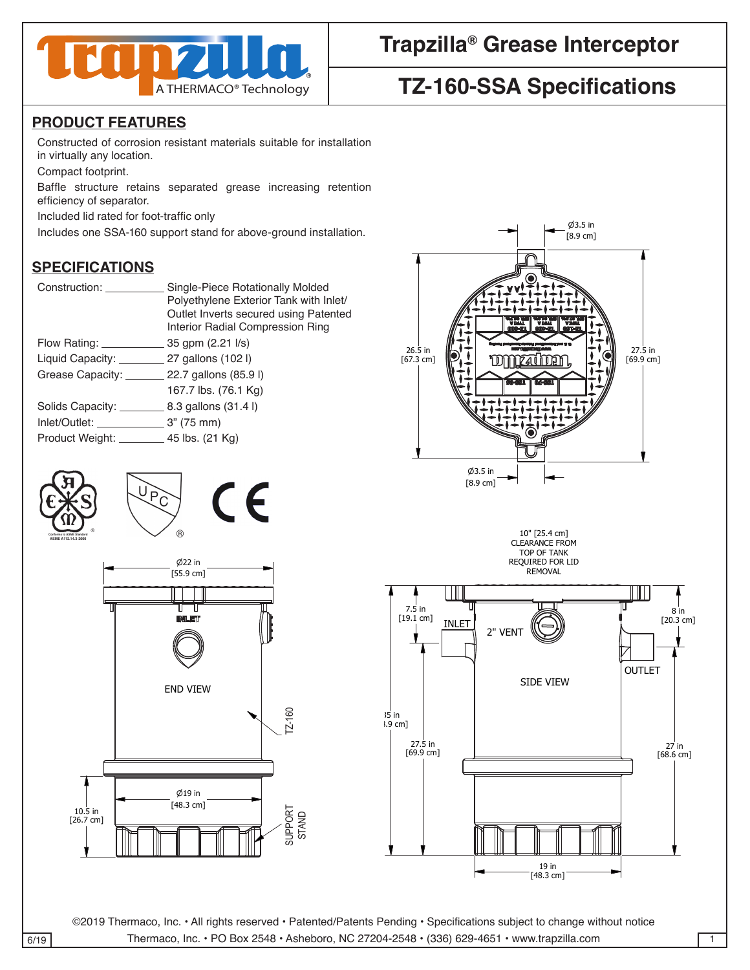

## **Trapzilla® Grease Interceptor**

# **TZ-160-SSA Specifications**

#### **PRODUCT FEATURES**

Constructed of corrosion resistant materials suitable for installation in virtually any location.

Compact footprint.

Baffle structure retains separated grease increasing retention efficiency of separator.

Included lid rated for foot-traffic only

Includes one SSA-160 support stand for above-ground installation. 3 3

### **SPECIFICATIONS**

| Construction:                             | Single-Piece Rotationally Molded       |
|-------------------------------------------|----------------------------------------|
|                                           | Polyethylene Exterior Tank with Inlet/ |
|                                           | Outlet Inverts secured using Patented  |
|                                           | Interior Radial Compression Ring       |
| Flow Rating: <u>____________</u>          | 35 gpm (2.21 l/s)                      |
| Liquid Capacity: 27 gallons (102)         |                                        |
| Grease Capacity: 22.7 gallons (85.9 l)    |                                        |
|                                           | 167.7 lbs. (76.1 Kg)                   |
| Solids Capacity:                          | 8.3 gallons (31.4 l)                   |
|                                           |                                        |
| Product Weight: _________ 45 lbs. (21 Kg) |                                        |
|                                           |                                        |







3

DRAWN DATE AND DRAWN DATE AND DRAWN

DRAWN DATE

Unless otherwise specified

Unless otherwise specified

©2019 Thermaco, Inc. • All rights reserved • Patented/Patents Pending • Specifications subject to change without notice 6/19 Thermaco, Inc. • PO Box 2548 • Asheboro, NC 27204-2548 • (336) 629-4651 • www.trapzilla.com

646 GREENSBORO STREET

7

PO BOX 2548, ASHEBORO, NC 27203 VOICE 336-629-4651 FAX 336-626-5739 Decimals

35 in